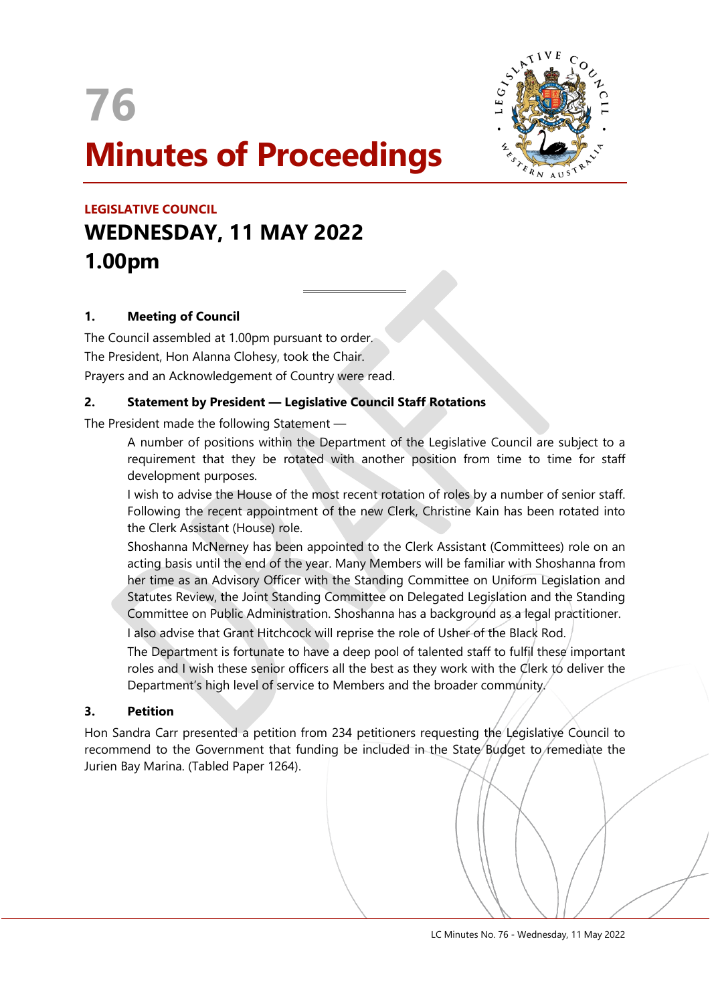



# **LEGISLATIVE COUNCIL WEDNESDAY, 11 MAY 2022 1.00pm**

# **1. Meeting of Council**

The Council assembled at 1.00pm pursuant to order. The President, Hon Alanna Clohesy, took the Chair. Prayers and an Acknowledgement of Country were read.

# **2. Statement by President — Legislative Council Staff Rotations**

 $\overline{a}$ 

The President made the following Statement —

A number of positions within the Department of the Legislative Council are subject to a requirement that they be rotated with another position from time to time for staff development purposes.

I wish to advise the House of the most recent rotation of roles by a number of senior staff. Following the recent appointment of the new Clerk, Christine Kain has been rotated into the Clerk Assistant (House) role.

Shoshanna McNerney has been appointed to the Clerk Assistant (Committees) role on an acting basis until the end of the year. Many Members will be familiar with Shoshanna from her time as an Advisory Officer with the Standing Committee on Uniform Legislation and Statutes Review, the Joint Standing Committee on Delegated Legislation and the Standing Committee on Public Administration. Shoshanna has a background as a legal practitioner.

I also advise that Grant Hitchcock will reprise the role of Usher of the Black Rod.

The Department is fortunate to have a deep pool of talented staff to fulfil these important roles and I wish these senior officers all the best as they work with the Clerk to deliver the Department's high level of service to Members and the broader community.

# **3. Petition**

Hon Sandra Carr presented a petition from 234 petitioners requesting the Legislative Council to recommend to the Government that funding be included in the State Budget to remediate the Jurien Bay Marina. (Tabled Paper 1264).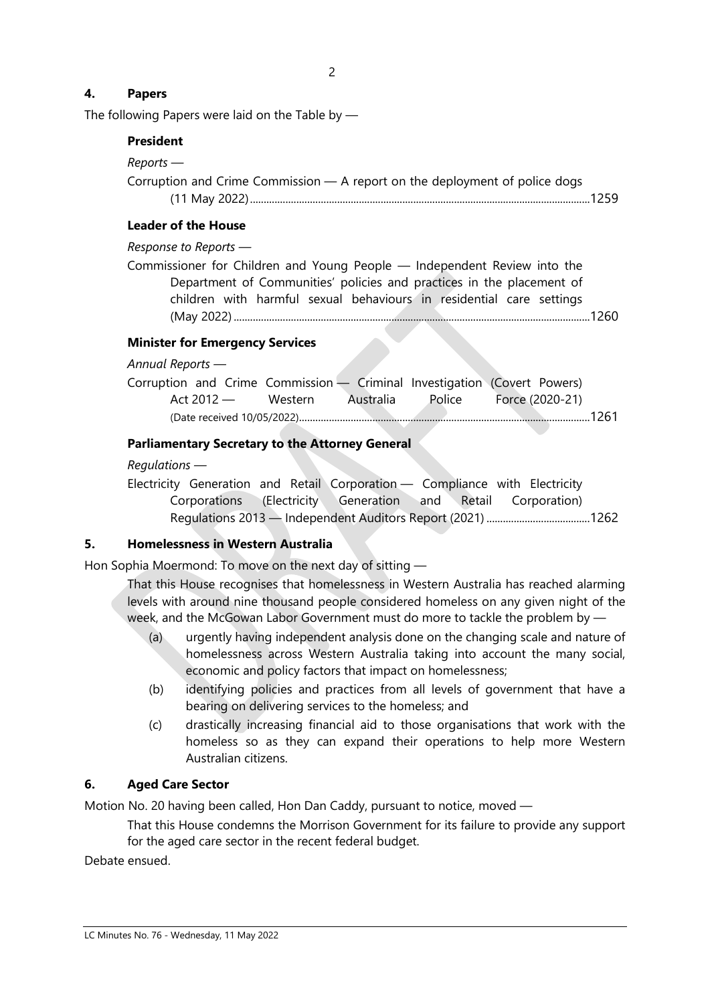# **4. Papers**

The following Papers were laid on the Table by —

### **President**

#### *Reports —*

Corruption and Crime Commission — A report on the deployment of police dogs (11 May 2022).............................................................................................................................1259

### **Leader of the House**

*Response to Reports —*

Commissioner for Children and Young People — Independent Review into the Department of Communities' policies and practices in the placement of children with harmful sexual behaviours in residential care settings (May 2022)...................................................................................................................................1260

### **Minister for Emergency Services**

#### *Annual Reports —*

|            |         |           | Corruption and Crime Commission - Criminal Investigation (Covert Powers) |  |
|------------|---------|-----------|--------------------------------------------------------------------------|--|
| Act 2012 — | Western | Australia | Police Force (2020-21)                                                   |  |
|            |         |           |                                                                          |  |

## **Parliamentary Secretary to the Attorney General**

### *Regulations —*

Electricity Generation and Retail Corporation — Compliance with Electricity Corporations (Electricity Generation and Retail Corporation) Regulations 2013 — Independent Auditors Report (2021) ......................................1262

# **5. Homelessness in Western Australia**

Hon Sophia Moermond: To move on the next day of sitting —

That this House recognises that homelessness in Western Australia has reached alarming levels with around nine thousand people considered homeless on any given night of the week, and the McGowan Labor Government must do more to tackle the problem by —

- (a) urgently having independent analysis done on the changing scale and nature of homelessness across Western Australia taking into account the many social, economic and policy factors that impact on homelessness;
- (b) identifying policies and practices from all levels of government that have a bearing on delivering services to the homeless; and
- (c) drastically increasing financial aid to those organisations that work with the homeless so as they can expand their operations to help more Western Australian citizens.

### **6. Aged Care Sector**

Motion No. 20 having been called, Hon Dan Caddy, pursuant to notice, moved —

That this House condemns the Morrison Government for its failure to provide any support for the aged care sector in the recent federal budget.

Debate ensued.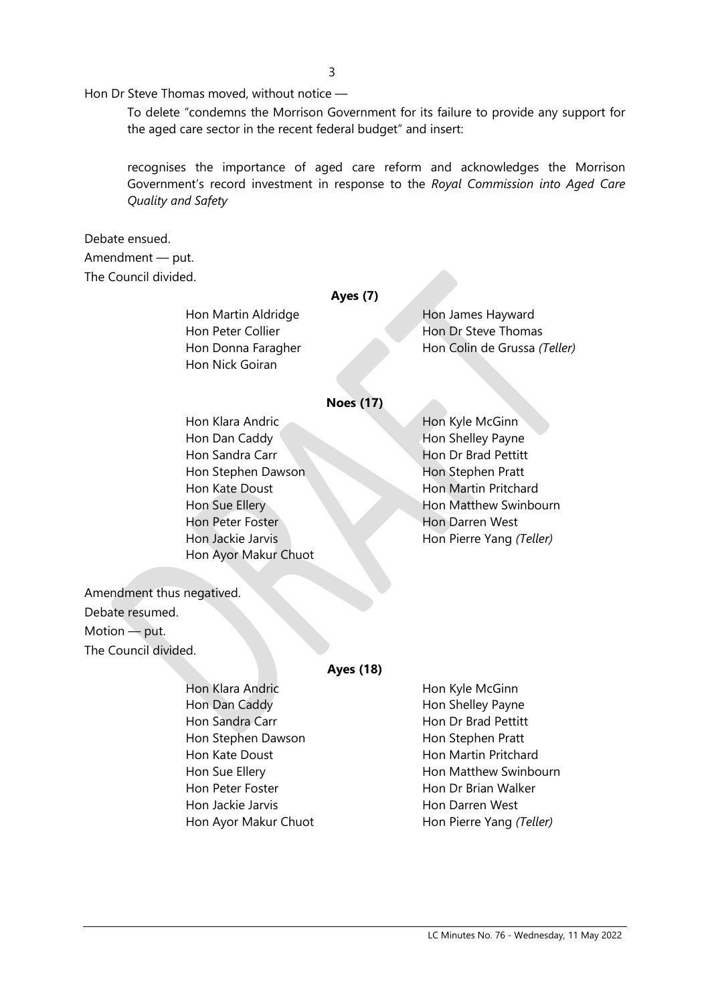Hon Dr Steve Thomas moved, without notice —

To delete "condemns the Morrison Government for its failure to provide any support for the aged care sector in the recent federal budget" and insert:

recognises the importance of aged care reform and acknowledges the Morrison Government's record investment in response to the *Royal Commission into Aged Care Quality and Safety*

# Debate ensued. Amendment — put. The Council divided.

### **Ayes (7)**

Hon Nick Goiran

Hon Martin Aldridge Hon James Hayward Hon Peter Collier **Hon Dr Steve Thomas** Hon Donna Faragher Hon Colin de Grussa *(Teller)*

### **Noes (17)**

Hon Klara Andric Hon Kyle McGinn Hon Dan Caddy **Hon Shelley Payne** Hon Sandra Carr **Hon Dr Brad Pettitt** Hon Stephen Dawson Hon Stephen Pratt Hon Kate Doust Hon Martin Pritchard Hon Peter Foster **Hon Darren** West Hon Jackie Jarvis Hon Pierre Yang *(Teller)* Hon Ayor Makur Chuot

Hon Sue Ellery **Hon Matthew Swinbourn** 

Amendment thus negatived. Debate resumed. Motion — put. The Council divided.

#### **Ayes (18)**

| Hon Klara Andric     | Hon Kyle McGinn          |
|----------------------|--------------------------|
| Hon Dan Caddy        | Hon Shelley Payne        |
| Hon Sandra Carr      | Hon Dr Brad Pettitt      |
| Hon Stephen Dawson   | Hon Stephen Pratt        |
| Hon Kate Doust       | Hon Martin Pritchard     |
| Hon Sue Ellery       | Hon Matthew Swinbourn    |
| Hon Peter Foster     | Hon Dr Brian Walker      |
| Hon Jackie Jarvis    | Hon Darren West          |
| Hon Ayor Makur Chuot | Hon Pierre Yang (Teller) |
|                      |                          |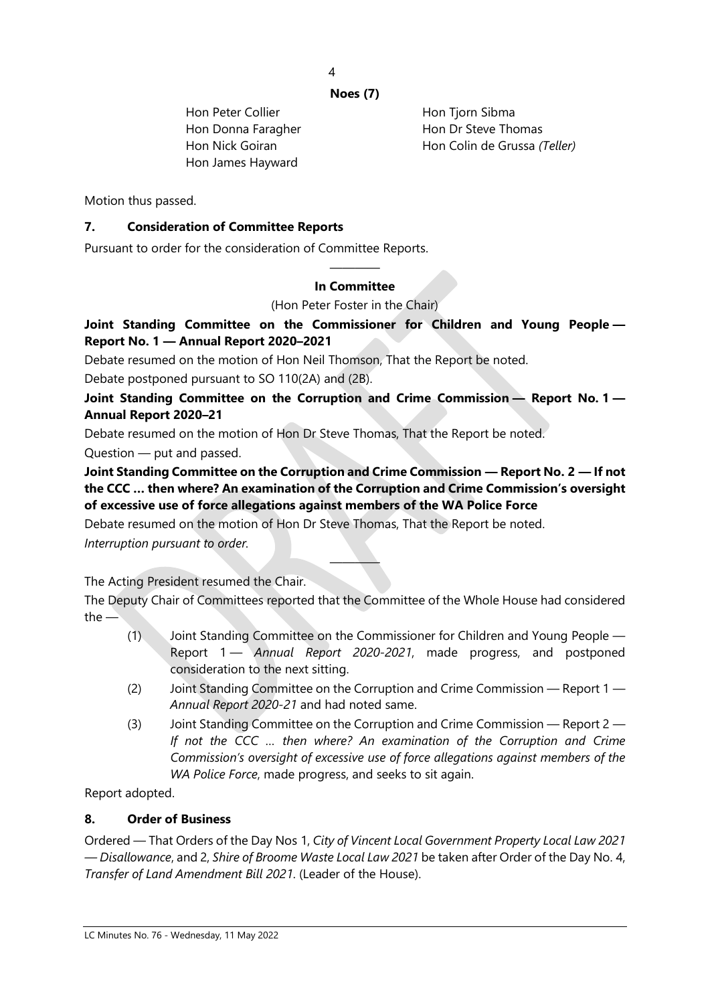4

### **Noes (7)**

Hon Peter Collier **Hon Tiom** Sibma Hon James Hayward

Hon Donna Faragher Hon Dr Steve Thomas Hon Nick Goiran Hon Colin de Grussa *(Teller)*

Motion thus passed.

# **7. Consideration of Committee Reports**

Pursuant to order for the consideration of Committee Reports.

### ———— **In Committee**

(Hon Peter Foster in the Chair)

# **Joint Standing Committee on the Commissioner for Children and Young People — Report No. 1 — Annual Report 2020–2021**

Debate resumed on the motion of Hon Neil Thomson, That the Report be noted.

Debate postponed pursuant to SO 110(2A) and (2B).

**Joint Standing Committee on the Corruption and Crime Commission — Report No. 1 — Annual Report 2020–21**

Debate resumed on the motion of Hon Dr Steve Thomas, That the Report be noted.

Question — put and passed.

**Joint Standing Committee on the Corruption and Crime Commission — Report No. 2 — If not the CCC … then where? An examination of the Corruption and Crime Commission's oversight of excessive use of force allegations against members of the WA Police Force**

Debate resumed on the motion of Hon Dr Steve Thomas, That the Report be noted.

*Interruption pursuant to order.*

The Acting President resumed the Chair.

The Deputy Chair of Committees reported that the Committee of the Whole House had considered the —

————

- (1) Joint Standing Committee on the Commissioner for Children and Young People Report 1 — *Annual Report 2020-2021*, made progress, and postponed consideration to the next sitting.
- (2) Joint Standing Committee on the Corruption and Crime Commission Report 1 *Annual Report 2020-21* and had noted same.
- (3) Joint Standing Committee on the Corruption and Crime Commission Report 2 *If not the CCC … then where? An examination of the Corruption and Crime Commission's oversight of excessive use of force allegations against members of the WA Police Force*, made progress, and seeks to sit again.

Report adopted.

# **8. Order of Business**

Ordered — That Orders of the Day Nos 1, *City of Vincent Local Government Property Local Law 2021 — Disallowance*, and 2, *Shire of Broome Waste Local Law 2021* be taken after Order of the Day No. 4, *Transfer of Land Amendment Bill 2021*. (Leader of the House).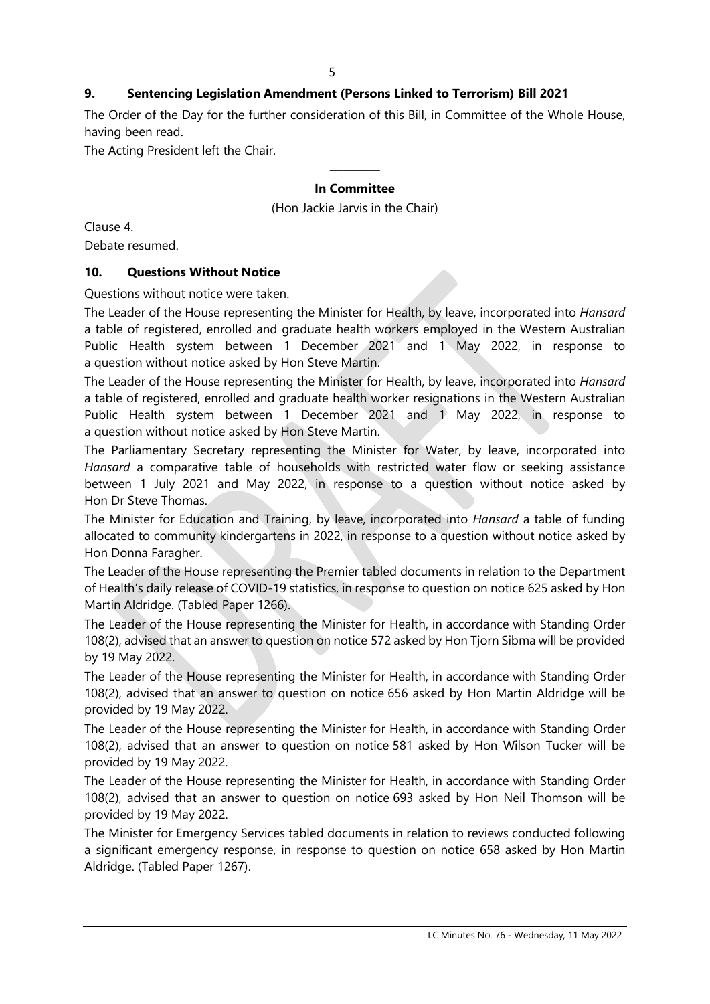# **9. Sentencing Legislation Amendment (Persons Linked to Terrorism) Bill 2021**

The Order of the Day for the further consideration of this Bill, in Committee of the Whole House, having been read.

The Acting President left the Chair.

# ———— **In Committee**

(Hon Jackie Jarvis in the Chair)

Clause 4.

Debate resumed.

### **10. Questions Without Notice**

Questions without notice were taken.

The Leader of the House representing the Minister for Health, by leave, incorporated into *Hansard* a table of registered, enrolled and graduate health workers employed in the Western Australian Public Health system between 1 December 2021 and 1 May 2022, in response to a question without notice asked by Hon Steve Martin.

The Leader of the House representing the Minister for Health, by leave, incorporated into *Hansard* a table of registered, enrolled and graduate health worker resignations in the Western Australian Public Health system between 1 December 2021 and 1 May 2022, in response to a question without notice asked by Hon Steve Martin.

The Parliamentary Secretary representing the Minister for Water, by leave, incorporated into *Hansard* a comparative table of households with restricted water flow or seeking assistance between 1 July 2021 and May 2022, in response to a question without notice asked by Hon Dr Steve Thomas.

The Minister for Education and Training, by leave, incorporated into *Hansard* a table of funding allocated to community kindergartens in 2022, in response to a question without notice asked by Hon Donna Faragher.

The Leader of the House representing the Premier tabled documents in relation to the Department of Health's daily release of COVID-19 statistics, in response to question on notice 625 asked by Hon Martin Aldridge. (Tabled Paper 1266).

The Leader of the House representing the Minister for Health, in accordance with Standing Order 108(2), advised that an answer to question on notice 572 asked by Hon Tjorn Sibma will be provided by 19 May 2022.

The Leader of the House representing the Minister for Health, in accordance with Standing Order 108(2), advised that an answer to question on notice 656 asked by Hon Martin Aldridge will be provided by 19 May 2022.

The Leader of the House representing the Minister for Health, in accordance with Standing Order 108(2), advised that an answer to question on notice 581 asked by Hon Wilson Tucker will be provided by 19 May 2022.

The Leader of the House representing the Minister for Health, in accordance with Standing Order 108(2), advised that an answer to question on notice 693 asked by Hon Neil Thomson will be provided by 19 May 2022.

The Minister for Emergency Services tabled documents in relation to reviews conducted following a significant emergency response, in response to question on notice 658 asked by Hon Martin Aldridge. (Tabled Paper 1267).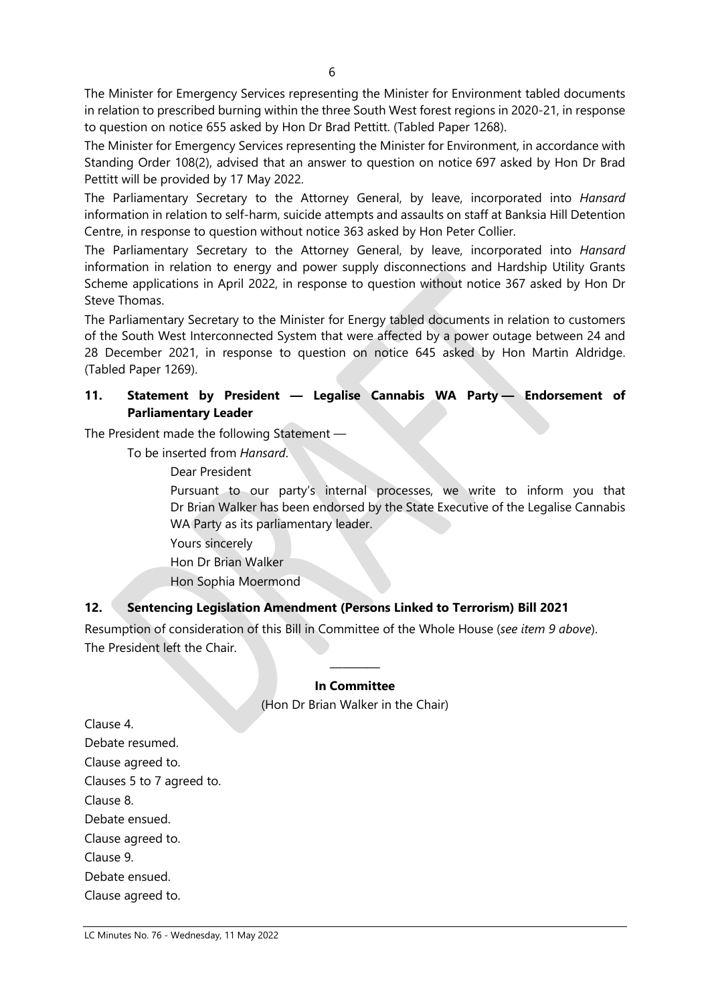The Minister for Emergency Services representing the Minister for Environment tabled documents in relation to prescribed burning within the three South West forest regions in 2020-21, in response to question on notice 655 asked by Hon Dr Brad Pettitt. (Tabled Paper 1268).

The Minister for Emergency Services representing the Minister for Environment, in accordance with Standing Order 108(2), advised that an answer to question on notice 697 asked by Hon Dr Brad Pettitt will be provided by 17 May 2022.

The Parliamentary Secretary to the Attorney General, by leave, incorporated into *Hansard* information in relation to self-harm, suicide attempts and assaults on staff at Banksia Hill Detention Centre, in response to question without notice 363 asked by Hon Peter Collier.

The Parliamentary Secretary to the Attorney General, by leave, incorporated into *Hansard* information in relation to energy and power supply disconnections and Hardship Utility Grants Scheme applications in April 2022, in response to question without notice 367 asked by Hon Dr Steve Thomas.

The Parliamentary Secretary to the Minister for Energy tabled documents in relation to customers of the South West Interconnected System that were affected by a power outage between 24 and 28 December 2021, in response to question on notice 645 asked by Hon Martin Aldridge. (Tabled Paper 1269).

### **11. Statement by President — Legalise Cannabis WA Party — Endorsement of Parliamentary Leader**

The President made the following Statement —

To be inserted from *Hansard*.

Dear President

Pursuant to our party's internal processes, we write to inform you that Dr Brian Walker has been endorsed by the State Executive of the Legalise Cannabis WA Party as its parliamentary leader.

Yours sincerely

Hon Dr Brian Walker

Hon Sophia Moermond

# **12. Sentencing Legislation Amendment (Persons Linked to Terrorism) Bill 2021**

Resumption of consideration of this Bill in Committee of the Whole House (*see item 9 above*). The President left the Chair.

### ———— **In Committee**

(Hon Dr Brian Walker in the Chair)

Clause 4. Debate resumed. Clause agreed to. Clauses 5 to 7 agreed to. Clause 8. Debate ensued. Clause agreed to. Clause 9. Debate ensued. Clause agreed to.